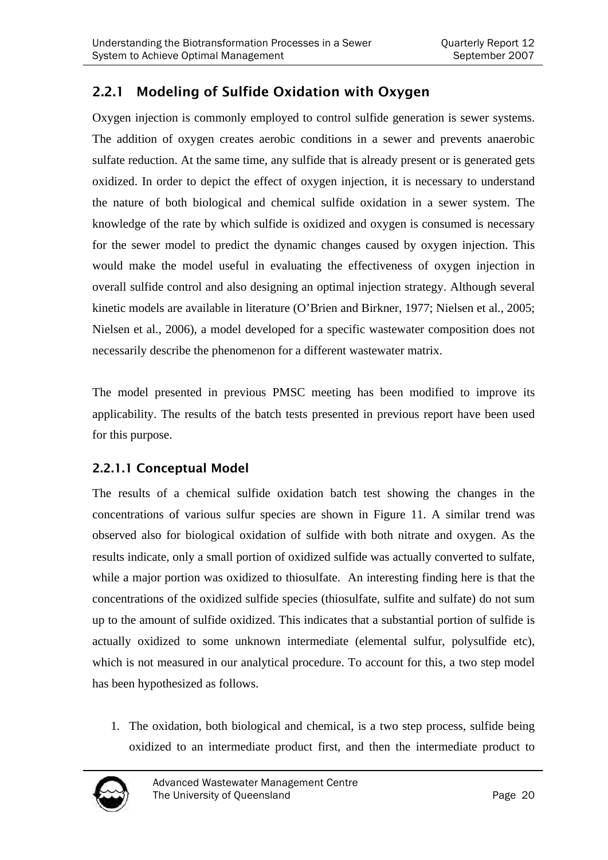## 2.2.1 Modeling of Sulfide Oxidation with Oxygen

Oxygen injection is commonly employed to control sulfide generation is sewer systems. The addition of oxygen creates aerobic conditions in a sewer and prevents anaerobic sulfate reduction. At the same time, any sulfide that is already present or is generated gets oxidized. In order to depict the effect of oxygen injection, it is necessary to understand the nature of both biological and chemical sulfide oxidation in a sewer system. The knowledge of the rate by which sulfide is oxidized and oxygen is consumed is necessary for the sewer model to predict the dynamic changes caused by oxygen injection. This would make the model useful in evaluating the effectiveness of oxygen injection in overall sulfide control and also designing an optimal injection strategy. Although several kinetic models are available in literature (O'Brien and Birkner, 1977; Nielsen et al., 2005; Nielsen et al., 2006), a model developed for a specific wastewater composition does not necessarily describe the phenomenon for a different wastewater matrix.

The model presented in previous PMSC meeting has been modified to improve its applicability. The results of the batch tests presented in previous report have been used for this purpose.

## 2.2.1.1 Conceptual Model

The results of a chemical sulfide oxidation batch test showing the changes in the concentrations of various sulfur species are shown in Figure 11. A similar trend was observed also for biological oxidation of sulfide with both nitrate and oxygen. As the results indicate, only a small portion of oxidized sulfide was actually converted to sulfate, while a major portion was oxidized to thiosulfate. An interesting finding here is that the concentrations of the oxidized sulfide species (thiosulfate, sulfite and sulfate) do not sum up to the amount of sulfide oxidized. This indicates that a substantial portion of sulfide is actually oxidized to some unknown intermediate (elemental sulfur, polysulfide etc), which is not measured in our analytical procedure. To account for this, a two step model has been hypothesized as follows.

1. The oxidation, both biological and chemical, is a two step process, sulfide being oxidized to an intermediate product first, and then the intermediate product to

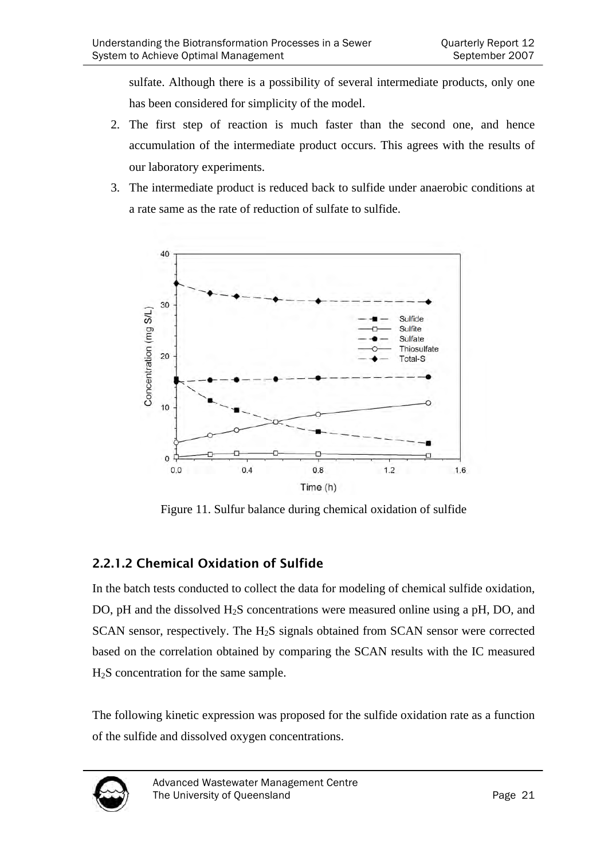sulfate. Although there is a possibility of several intermediate products, only one has been considered for simplicity of the model.

- 2. The first step of reaction is much faster than the second one, and hence accumulation of the intermediate product occurs. This agrees with the results of our laboratory experiments.
- 3. The intermediate product is reduced back to sulfide under anaerobic conditions at a rate same as the rate of reduction of sulfate to sulfide.



Figure 11. Sulfur balance during chemical oxidation of sulfide

## 2.2.1.2 Chemical Oxidation of Sulfide

In the batch tests conducted to collect the data for modeling of chemical sulfide oxidation, DO, pH and the dissolved H<sub>2</sub>S concentrations were measured online using a pH, DO, and SCAN sensor, respectively. The H<sub>2</sub>S signals obtained from SCAN sensor were corrected based on the correlation obtained by comparing the SCAN results with the IC measured H2S concentration for the same sample.

The following kinetic expression was proposed for the sulfide oxidation rate as a function of the sulfide and dissolved oxygen concentrations.

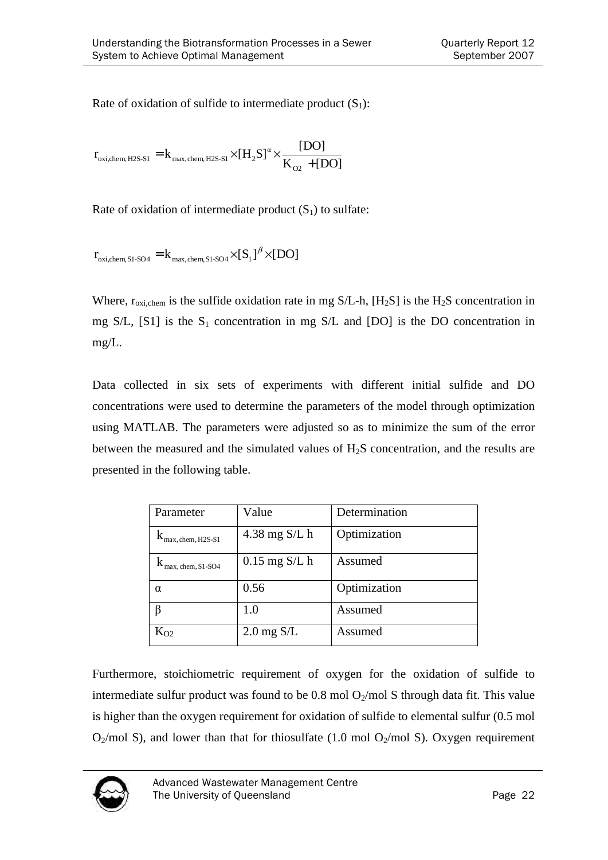Rate of oxidation of sulfide to intermediate product  $(S_1)$ :

 $K_{02}$  + [DO]  $r_{\alpha i \text{ chem H2S-S1}} = k_{\text{max chem H2S-S1}} \times [H_2S]^{\alpha} \times \frac{[DO]}{\sqrt{[PO]}},$ O2 α oxi, chem, H2S-S1 =  $\text{K}_{\text{max, chem, H2S-S1}} \times \left[\text{H}_2\text{S}\right]^{\alpha} \times \frac{\text{L}}{\text{K}_{\text{O2}}}$ 

Rate of oxidation of intermediate product  $(S_1)$  to sulfate:

 $r_{\text{oxi,chem,S1-SO4}} = k_{\text{max,chem,S1-SO4}} \times [S_1]^{\beta} \times [DO]$ 

Where,  $r_{\text{oxi,chem}}$  is the sulfide oxidation rate in mg S/L-h,  $[H_2S]$  is the  $H_2S$  concentration in mg S/L,  $[S1]$  is the S<sub>1</sub> concentration in mg S/L and  $[DO]$  is the DO concentration in mg/L.

Data collected in six sets of experiments with different initial sulfide and DO concentrations were used to determine the parameters of the model through optimization using MATLAB. The parameters were adjusted so as to minimize the sum of the error between the measured and the simulated values of H2S concentration, and the results are presented in the following table.

| Parameter         | Value           | Determination |
|-------------------|-----------------|---------------|
| max, chem, H2S-S1 | $4.38$ mg S/L h | Optimization  |
| max, chem, S1-SO4 | $0.15$ mg S/L h | Assumed       |
| $\alpha$          | 0.56            | Optimization  |
|                   | 1.0             | Assumed       |
| $\rm K_{O2}$      | $2.0$ mg $S/L$  | Assumed       |

Furthermore, stoichiometric requirement of oxygen for the oxidation of sulfide to intermediate sulfur product was found to be  $0.8 \text{ mol O}_2/\text{mol S}$  through data fit. This value is higher than the oxygen requirement for oxidation of sulfide to elemental sulfur (0.5 mol  $O_2$ /mol S), and lower than that for thiosulfate (1.0 mol  $O_2$ /mol S). Oxygen requirement